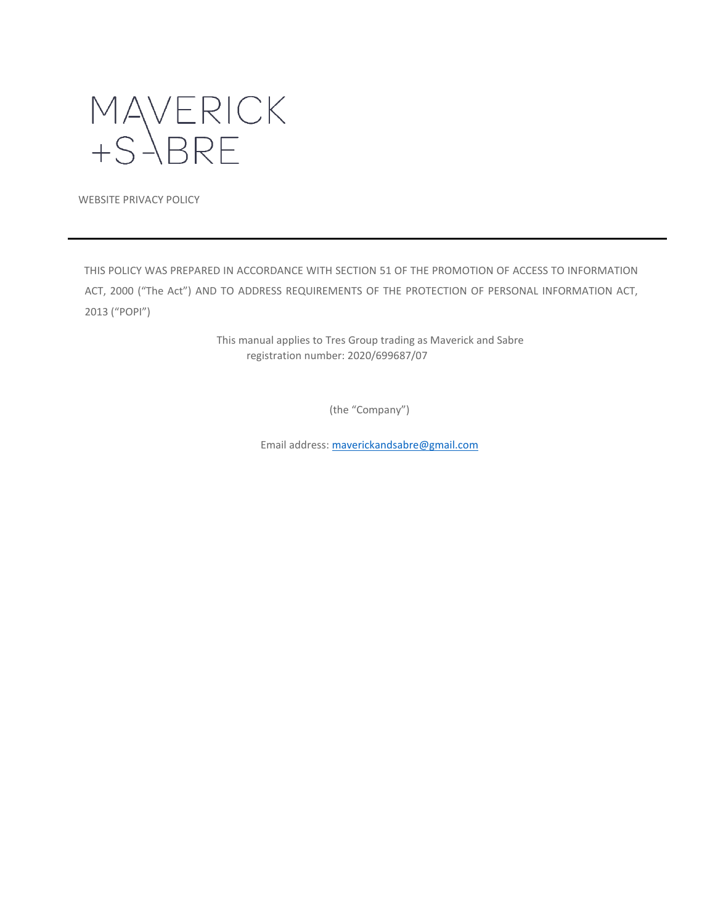

WEBSITE PRIVACY POLICY

THIS POLICY WAS PREPARED IN ACCORDANCE WITH SECTION 51 OF THE PROMOTION OF ACCESS TO INFORMATION ACT, 2000 ("The Act") AND TO ADDRESS REQUIREMENTS OF THE PROTECTION OF PERSONAL INFORMATION ACT, 2013 ("POPI")

> This manual applies to Tres Group trading as Maverick and Sabre registration number: 2020/699687/07

> > (the "Company")

Email address[: maverickandsabre@gmail.com](mailto:maverickandsabre@gmail.com)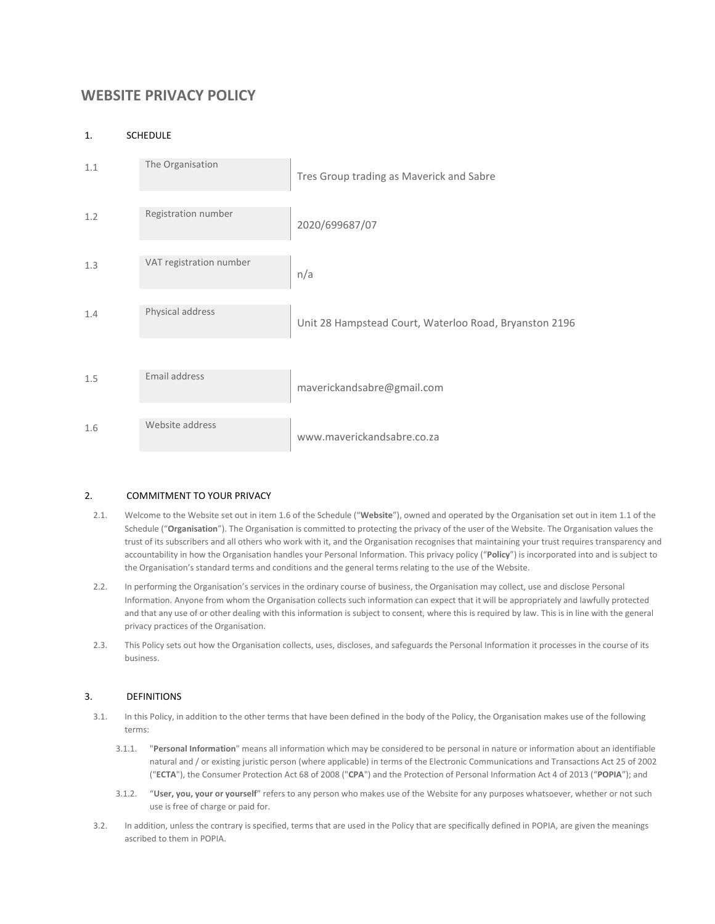# **WEBSITE PRIVACY POLICY**

# 1. SCHEDULE

| 1.1 | The Organisation        | Tres Group trading as Maverick and Sabre               |
|-----|-------------------------|--------------------------------------------------------|
| 1.2 | Registration number     | 2020/699687/07                                         |
| 1.3 | VAT registration number | n/a                                                    |
| 1.4 | Physical address        | Unit 28 Hampstead Court, Waterloo Road, Bryanston 2196 |
| 1.5 | Email address           | maverickandsabre@gmail.com                             |
| 1.6 | Website address         | www.maverickandsabre.co.za                             |

# 2. COMMITMENT TO YOUR PRIVACY

- 2.1. Welcome to the Website set out in item 1.6 of the Schedule ("**Website**"), owned and operated by the Organisation set out in item 1.1 of the Schedule ("**Organisation**"). The Organisation is committed to protecting the privacy of the user of the Website. The Organisation values the trust of its subscribers and all others who work with it, and the Organisation recognises that maintaining your trust requires transparency and accountability in how the Organisation handles your Personal Information. This privacy policy ("**Policy**") is incorporated into and is subject to the Organisation's standard terms and conditions and the general terms relating to the use of the Website.
- 2.2. In performing the Organisation's services in the ordinary course of business, the Organisation may collect, use and disclose Personal Information. Anyone from whom the Organisation collects such information can expect that it will be appropriately and lawfully protected and that any use of or other dealing with this information is subject to consent, where this is required by law. This is in line with the general privacy practices of the Organisation.
- 2.3. This Policy sets out how the Organisation collects, uses, discloses, and safeguards the Personal Information it processes in the course of its business.

# 3. DEFINITIONS

- 3.1. In this Policy, in addition to the other terms that have been defined in the body of the Policy, the Organisation makes use of the following terms:
	- 3.1.1. "**Personal Information**" means all information which may be considered to be personal in nature or information about an identifiable natural and / or existing juristic person (where applicable) in terms of the Electronic Communications and Transactions Act 25 of 2002 ("**ECTA**"), the Consumer Protection Act 68 of 2008 ("**CPA**") and the Protection of Personal Information Act 4 of 2013 ("**POPIA**"); and
	- 3.1.2. "**User, you, your or yourself**" refers to any person who makes use of the Website for any purposes whatsoever, whether or not such use is free of charge or paid for.
- 3.2. In addition, unless the contrary is specified, terms that are used in the Policy that are specifically defined in POPIA, are given the meanings ascribed to them in POPIA.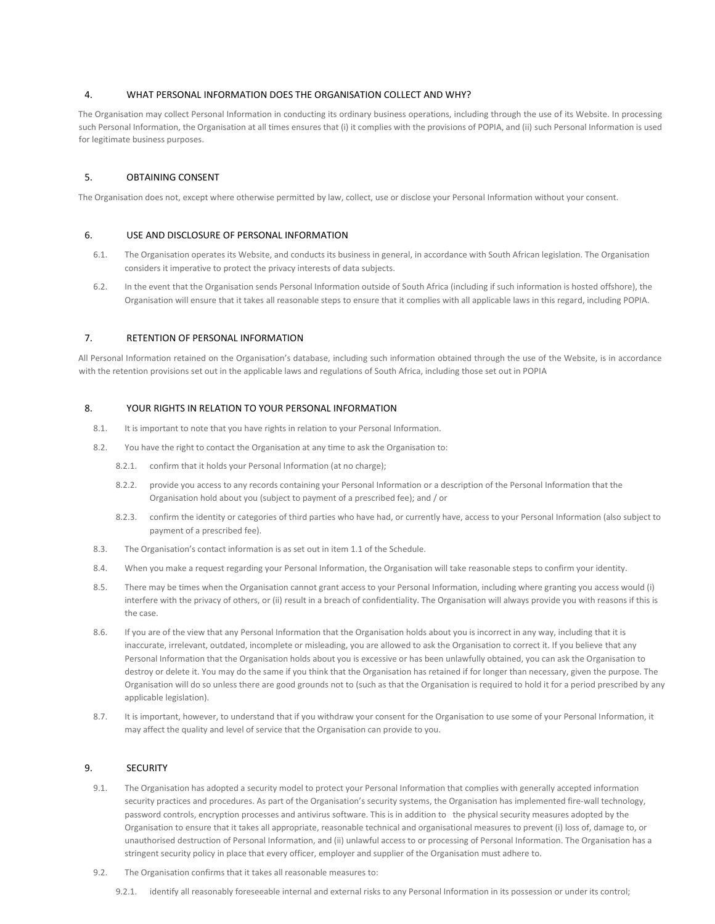# 4. WHAT PERSONAL INFORMATION DOES THE ORGANISATION COLLECT AND WHY?

The Organisation may collect Personal Information in conducting its ordinary business operations, including through the use of its Website. In processing such Personal Information, the Organisation at all times ensures that (i) it complies with the provisions of POPIA, and (ii) such Personal Information is used for legitimate business purposes.

#### 5. OBTAINING CONSENT

The Organisation does not, except where otherwise permitted by law, collect, use or disclose your Personal Information without your consent.

# 6. USE AND DISCLOSURE OF PERSONAL INFORMATION

- 6.1. The Organisation operates its Website, and conducts its business in general, in accordance with South African legislation. The Organisation considers it imperative to protect the privacy interests of data subjects.
- 6.2. In the event that the Organisation sends Personal Information outside of South Africa (including if such information is hosted offshore), the Organisation will ensure that it takes all reasonable steps to ensure that it complies with all applicable laws in this regard, including POPIA.

#### 7. RETENTION OF PERSONAL INFORMATION

All Personal Information retained on the Organisation's database, including such information obtained through the use of the Website, is in accordance with the retention provisions set out in the applicable laws and regulations of South Africa, including those set out in POPIA

# 8. YOUR RIGHTS IN RELATION TO YOUR PERSONAL INFORMATION

- 8.1. It is important to note that you have rights in relation to your Personal Information.
- 8.2. You have the right to contact the Organisation at any time to ask the Organisation to:
	- 8.2.1. confirm that it holds your Personal Information (at no charge);
	- 8.2.2. provide you access to any records containing your Personal Information or a description of the Personal Information that the Organisation hold about you (subject to payment of a prescribed fee); and / or
	- 8.2.3. confirm the identity or categories of third parties who have had, or currently have, access to your Personal Information (also subject to payment of a prescribed fee).
- 8.3. The Organisation's contact information is as set out in item 1.1 of the Schedule.
- 8.4. When you make a request regarding your Personal Information, the Organisation will take reasonable steps to confirm your identity.
- 8.5. There may be times when the Organisation cannot grant access to your Personal Information, including where granting you access would (i) interfere with the privacy of others, or (ii) result in a breach of confidentiality. The Organisation will always provide you with reasons if this is the case.
- 8.6. If you are of the view that any Personal Information that the Organisation holds about you is incorrect in any way, including that it is inaccurate, irrelevant, outdated, incomplete or misleading, you are allowed to ask the Organisation to correct it. If you believe that any Personal Information that the Organisation holds about you is excessive or has been unlawfully obtained, you can ask the Organisation to destroy or delete it. You may do the same if you think that the Organisation has retained if for longer than necessary, given the purpose. The Organisation will do so unless there are good grounds not to (such as that the Organisation is required to hold it for a period prescribed by any applicable legislation).
- 8.7. It is important, however, to understand that if you withdraw your consent for the Organisation to use some of your Personal Information, it may affect the quality and level of service that the Organisation can provide to you.

# 9. SECURITY

- 9.1. The Organisation has adopted a security model to protect your Personal Information that complies with generally accepted information security practices and procedures. As part of the Organisation's security systems, the Organisation has implemented fire-wall technology, password controls, encryption processes and antivirus software. This is in addition to the physical security measures adopted by the Organisation to ensure that it takes all appropriate, reasonable technical and organisational measures to prevent (i) loss of, damage to, or unauthorised destruction of Personal Information, and (ii) unlawful access to or processing of Personal Information. The Organisation has a stringent security policy in place that every officer, employer and supplier of the Organisation must adhere to.
- 9.2. The Organisation confirms that it takes all reasonable measures to:
	- 9.2.1. identify all reasonably foreseeable internal and external risks to any Personal Information in its possession or under its control;